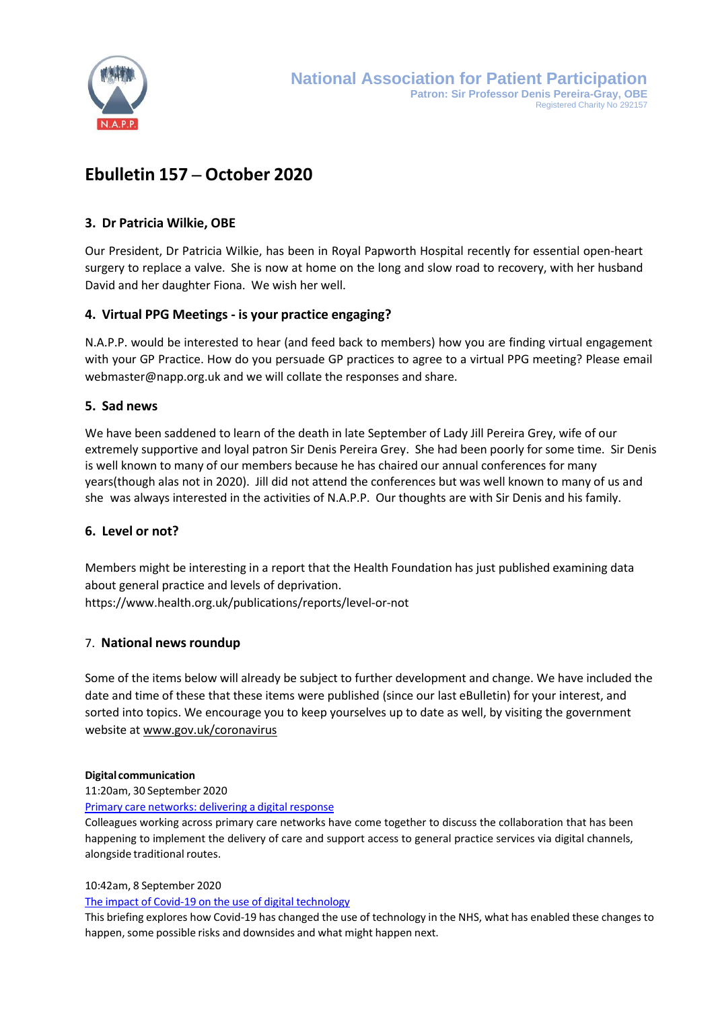

# **Ebulletin 157 – October 2020**

# **3. Dr Patricia Wilkie, OBE**

Our President, Dr Patricia Wilkie, has been in Royal Papworth Hospital recently for essential open-heart surgery to replace a valve. She is now at home on the long and slow road to recovery, with her husband David and her daughter Fiona. We wish her well.

# **4. Virtual PPG Meetings - is your practice engaging?**

N.A.P.P. would be interested to hear (and feed back to members) how you are finding virtual engagement with your GP Practice. How do you persuade GP practices to agree to a virtual PPG meeting? Please emai[l](mailto:webmaster@napp.org.uk) [webmaster@napp.org.uk](mailto:webmaster@napp.org.uk) and we will collate the responses and share.

# **5. Sad news**

We have been saddened to learn of the death in late September of Lady Jill Pereira Grey, wife of our extremely supportive and loyal patron Sir Denis Pereira Grey. She had been poorly for some time. Sir Denis is well known to many of our members because he has chaired our annual conferences for many years(though alas not in 2020). Jill did not attend the conferences but was well known to many of us and she was always interested in the activities of N.A.P.P. Our thoughts are with Sir Denis and his family.

# **6. Level or not?**

Members might be interesting in a report that the Health Foundation has just published examining data about general practice and levels of deprivation. <https://www.health.org.uk/publications/reports/level-or-not>

# 7. **National newsroundup**

Some of the items below will already be subject to further development and change. We have included the date and time of these that these items were published (since our last eBulletin) for your interest, and sorted into topics. We encourage you to keep yourselves up to date as well, by visiting the government website at [www.gov.uk/coronavirus](http://www.gov.uk/coronavirus)

# **Digital communication**

# 11:20am, 30 September 2020

Primary care [networks:](http://www.networks.nhs.uk/networks/news/primary-care-networks-delivering-a-digital-response) delivering a digital response

Colleagues working across primary care networks have come together to discuss the collaboration that has been happening to implement the delivery of care and support access to general practice services via digital channels, alongside traditional routes.

# 10:42am, 8 September 2020

# The impact of Covid-19 on the use of digital [technology](http://www.networks.nhs.uk/networks/news/the-impact-of-covid-19-on-the-use-of-digital-technology)

This briefing explores how Covid-19 has changed the use of technology in the NHS, what has enabled these changes to happen, some possible risks and downsides and what might happen next.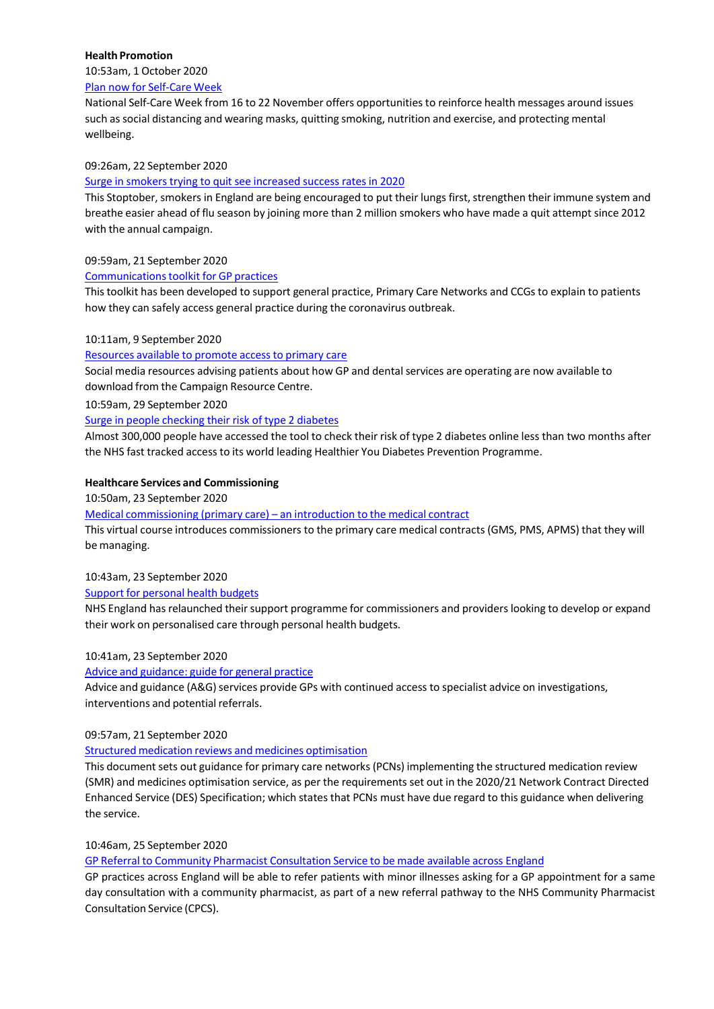## **Health Promotion**

10:53am, 1 October 2020

Plan now for [Self-Care](http://www.networks.nhs.uk/networks/news/plan-now-for-self-care-week) Week

National Self-Care Week from 16 to 22 November offers opportunities to reinforce health messages around issues such associal distancing and wearing masks, quitting smoking, nutrition and exercise, and protecting mental wellbeing.

#### 09:26am, 22 September 2020

# Surge in smokers trying to quit see [increased](http://www.networks.nhs.uk/networks/news/surge-in-smokers-trying-to-quit-see-increased-success-rates-in-2020) success rates in 2020

This Stoptober, smokers in England are being encouraged to put their lungs first, strengthen their immune system and breathe easier ahead of flu season by joining more than 2 million smokers who have made a quit attempt since 2012 with the annual campaign.

#### 09:59am, 21 September 2020

#### Communications toolkit for GP practices

Thistoolkit has been developed to support general practice, Primary Care Networks and CCGs to explain to patients how they can safely access general practice during the coronavirus outbreak.

#### 10:11am, 9 September 2020

#### [Resources](http://www.networks.nhs.uk/networks/news/resources-available-to-promote-access-to-primary-care) available to promote access to primary care

Social media resources advising patients about how GP and dental services are operating are now available to download from the Campaign Resource Centre.

10:59am, 29 September 2020

# Surge in people [checking](http://www.networks.nhs.uk/networks/news/surge-in-people-checking-their-risk-of-type-2-diabetes) their risk of type 2 diabetes

Almost 300,000 people have accessed the tool to check their risk of type 2 diabetes online less than two months after the NHS fast tracked access to its world leading Healthier You Diabetes Prevention Programme.

#### **Healthcare Services and Commissioning**

10:50am, 23 September 2020

Medical [commissioning](http://www.networks.nhs.uk/networks/news/medical-commissioning-primary-care-2013-an-introduction-to-the-medical-contract) (primary care) – an introduction to the medical contract

This virtual course introduces commissioners to the primary care medical contracts (GMS, PMS, APMS) that they will be managing.

# 10:43am, 23 September 2020

#### Support for [personal](http://www.networks.nhs.uk/networks/news/support-for-personal-health-budgets) health budgets

NHS England has relaunched theirsupport programme for commissioners and providers looking to develop or expand their work on personalised care through personal health budgets.

# 10:41am, 23 September 2020

Advice and [guidance:](http://www.networks.nhs.uk/networks/news/advice-and-guidance-guide-for-general-practice) guide for general practice

Advice and guidance (A&G) services provide GPs with continued access to specialist advice on investigations, interventions and potential referrals.

# 09:57am, 21 September 2020

# Structured medication reviews and medicines [optimisation](http://www.networks.nhs.uk/networks/news/structured-medication-reviews-and-medicines-optimisation)

This document sets out guidance for primary care networks (PCNs) implementing the structured medication review (SMR) and medicines optimisation service, as per the requirements set out in the 2020/21 Network Contract Directed Enhanced Service (DES) Specification; which states that PCNs must have due regard to this guidance when delivering the service.

#### 10:46am, 25 September 2020

GP Referral to Community Pharmacist [Consultation](http://www.networks.nhs.uk/networks/news/gp-referral-to-community-pharmacist-consultation-service-to-be-made-available-across-england) Service to be made available across England

GP practices across England will be able to refer patients with minor illnesses asking for a GP appointment for a same day consultation with a community pharmacist, as part of a new referral pathway to the NHS Community Pharmacist Consultation Service (CPCS).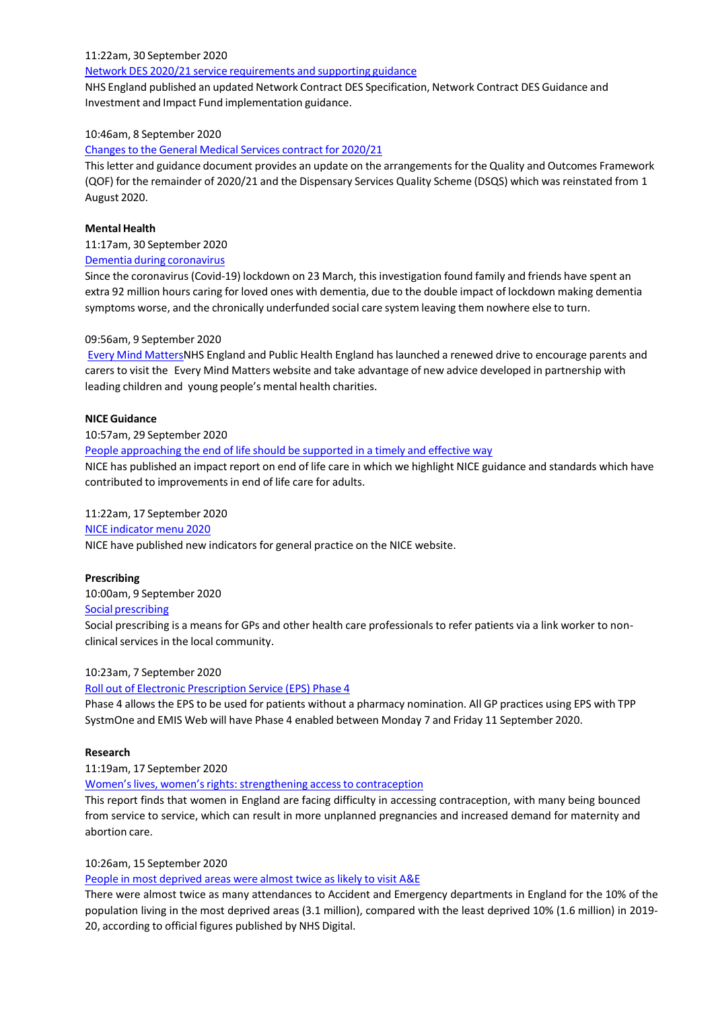#### 11:22am, 30 September 2020

# Network DES 2020/21 service [requirements](http://www.networks.nhs.uk/networks/news/network-des-2020-21-service-requirements-and-supporting-guidance) and supporting guidance

NHS England published an updated Network Contract DES Specification, Network Contract DES Guidance and Investment and Impact Fund implementation guidance.

# 10:46am, 8 September 2020

#### Changes to the General Medical Services contract for 2020/21

Thisletter and guidance document provides an update on the arrangements for the Quality and Outcomes Framework (QOF) for the remainder of 2020/21 and the Dispensary Services Quality Scheme (DSQS) which was reinstated from 1 August 2020.

## **Mental Health**

11:17am, 30 September 2020

#### Dementia during [coronavirus](http://www.networks.nhs.uk/networks/news/dementia-during-coronavirus)

Since the coronavirus (Covid-19) lockdown on 23 March, this investigation found family and friends have spent an extra 92 million hours caring for loved ones with dementia, due to the double impact of lockdown making dementia symptoms worse, and the chronically underfunded social care system leaving them nowhere else to turn.

# 09:56am, 9 September 2020

Every Mind [MattersN](http://www.networks.nhs.uk/networks/news/every-mind-matters)HS England and Public Health England has launched a renewed drive to encourage parents and carers to visit the Every Mind Matters website and take advantage of new advice developed in partnership with leading children and young people's mental health charities.

#### **NICE Guidance**

10:57am, 29 September 2020

People [approaching](http://www.networks.nhs.uk/networks/news/people-approaching-the-end-of-life-should-be-supported-in-a-timely-and-effective-way) the end of life should be supported in a timely and effective way

NICE has published an impact report on end of life care in which we highlight NICE guidance and standards which have contributed to improvements in end of life care for adults.

# 11:22am, 17 September 2020

# NICE [indicator](http://www.networks.nhs.uk/networks/news/nice-indicator-menu-2020) menu 2020

NICE have published new indicators for general practice on the NICE website.

# **Prescribing**

10:00am, 9 September 2020

### Social [prescribing](http://www.networks.nhs.uk/networks/news/social-prescribing)

Social prescribing is a means for GPs and other health care professionals to refer patients via a link worker to nonclinical services in the local community.

# 10:23am, 7 September 2020

# Roll out of Electronic [Prescription](http://www.networks.nhs.uk/networks/news/roll-out-of-electronic-prescription-service-eps-phase-4) Service (EPS) Phase 4

Phase 4 allows the EPS to be used for patients without a pharmacy nomination. All GP practices using EPS with TPP SystmOne and EMIS Web will have Phase 4 enabled between Monday 7 and Friday 11 September 2020.

#### **Research**

# 11:19am, 17 September 2020

# Women's lives, women's rights: strengthening access to contraception

This report finds that women in England are facing difficulty in accessing contraception, with many being bounced from service to service, which can result in more unplanned pregnancies and increased demand for maternity and abortion care.

# 10:26am, 15 September 2020

#### People in most [deprived](http://www.networks.nhs.uk/networks/news/people-in-most-deprived-areas-were-almost-twice-as-likely-to-visit-a-e) areas were almost twice as likely to visit A&E

There were almost twice as many attendances to Accident and Emergency departments in England for the 10% of the population living in the most deprived areas (3.1 million), compared with the least deprived 10% (1.6 million) in 2019- 20, according to official figures published by NHS Digital.